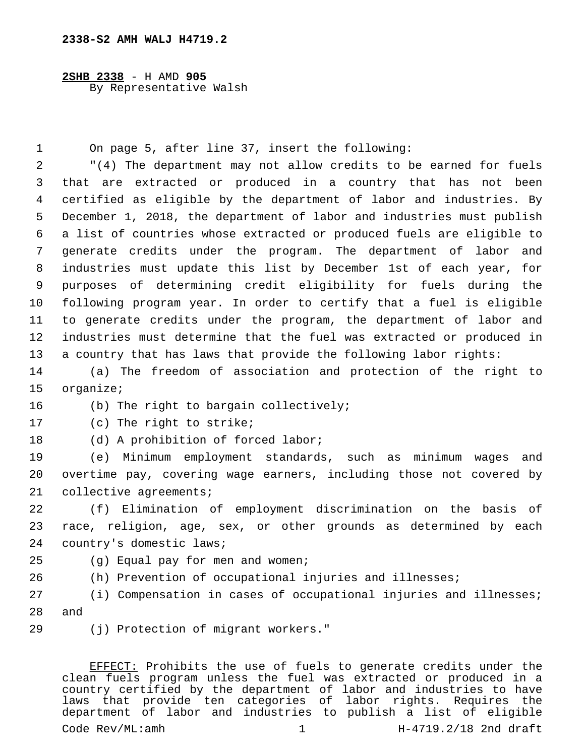**2SHB 2338** - H AMD **905** By Representative Walsh

1 On page 5, after line 37, insert the following:

 "(4) The department may not allow credits to be earned for fuels that are extracted or produced in a country that has not been certified as eligible by the department of labor and industries. By December 1, 2018, the department of labor and industries must publish a list of countries whose extracted or produced fuels are eligible to generate credits under the program. The department of labor and industries must update this list by December 1st of each year, for purposes of determining credit eligibility for fuels during the following program year. In order to certify that a fuel is eligible to generate credits under the program, the department of labor and industries must determine that the fuel was extracted or produced in a country that has laws that provide the following labor rights:

14 (a) The freedom of association and protection of the right to 15 organize;

16 (b) The right to bargain collectively;

17 (c) The right to strike;

18 (d) A prohibition of forced labor;

19 (e) Minimum employment standards, such as minimum wages and 20 overtime pay, covering wage earners, including those not covered by 21 collective agreements;

22 (f) Elimination of employment discrimination on the basis of 23 race, religion, age, sex, or other grounds as determined by each 24 country's domestic laws;

- 25 (g) Equal pay for men and women;
- 26 (h) Prevention of occupational injuries and illnesses;

27 (i) Compensation in cases of occupational injuries and illnesses; 28 and

(j) Protection of migrant workers."29

EFFECT: Prohibits the use of fuels to generate credits under the clean fuels program unless the fuel was extracted or produced in a country certified by the department of labor and industries to have laws that provide ten categories of labor rights. Requires the department of labor and industries to publish a list of eligible